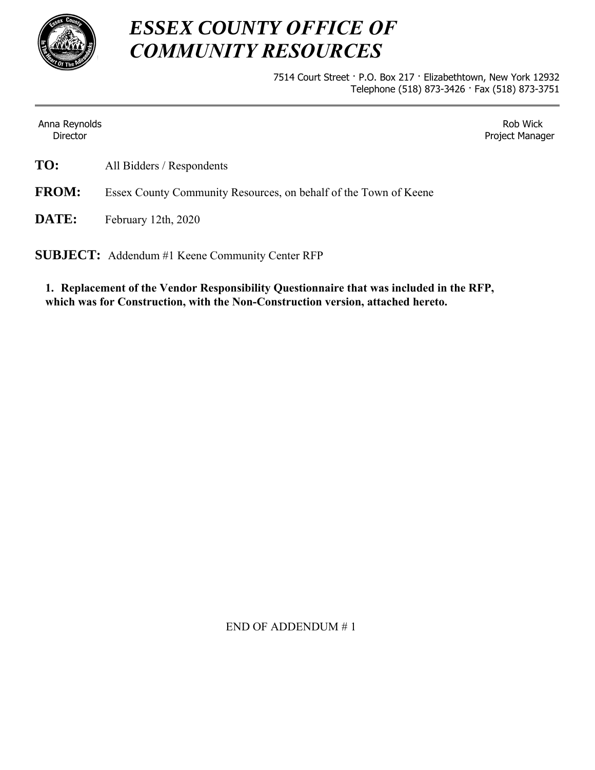

# *ESSEX COUNTY OFFICE OF COMMUNITY RESOURCES*

7514 Court Street · P.O. Box 217 · Elizabethtown, New York 12932 Telephone (518) 873-3426 · Fax (518) 873-3751

Anna Reynolds **Director** 

Rob Wick Project Manager

**TO:** All Bidders / Respondents

**FROM:** Essex County Community Resources, on behalf of the Town of Keene

**DATE:** February 12th, 2020

**SUBJECT:** Addendum #1 Keene Community Center RFP

**1. Replacement of the Vendor Responsibility Questionnaire that was included in the RFP, which was for Construction, with the Non-Construction version, attached hereto.** 

END OF ADDENDUM # 1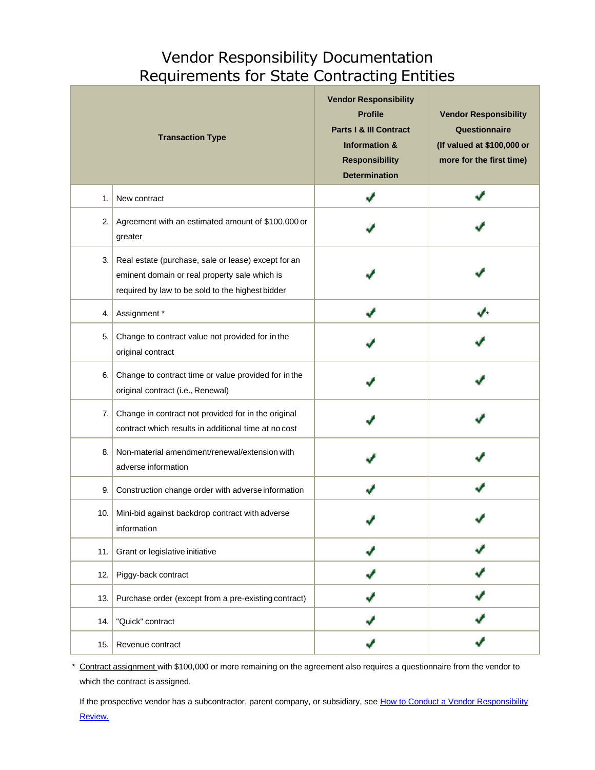## Vendor Responsibility Documentation Requirements for State Contracting Entities

|     | <b>Transaction Type</b>                                                                                                                                  | <b>Vendor Responsibility</b><br><b>Profile</b><br><b>Parts I &amp; III Contract</b><br><b>Information &amp;</b><br><b>Responsibility</b><br><b>Determination</b> | <b>Vendor Responsibility</b><br>Questionnaire<br>(If valued at \$100,000 or<br>more for the first time) |
|-----|----------------------------------------------------------------------------------------------------------------------------------------------------------|------------------------------------------------------------------------------------------------------------------------------------------------------------------|---------------------------------------------------------------------------------------------------------|
| 1.  | New contract                                                                                                                                             |                                                                                                                                                                  |                                                                                                         |
| 2.  | Agreement with an estimated amount of \$100,000 or<br>greater                                                                                            |                                                                                                                                                                  |                                                                                                         |
| 3.  | Real estate (purchase, sale or lease) except for an<br>eminent domain or real property sale which is<br>required by law to be sold to the highest bidder |                                                                                                                                                                  |                                                                                                         |
| 4.  | Assignment*                                                                                                                                              |                                                                                                                                                                  |                                                                                                         |
| 5.  | Change to contract value not provided for in the<br>original contract                                                                                    |                                                                                                                                                                  |                                                                                                         |
| 6.  | Change to contract time or value provided for in the<br>original contract (i.e., Renewal)                                                                |                                                                                                                                                                  |                                                                                                         |
| 7.1 | Change in contract not provided for in the original<br>contract which results in additional time at no cost                                              |                                                                                                                                                                  |                                                                                                         |
| 8.  | Non-material amendment/renewal/extension with<br>adverse information                                                                                     |                                                                                                                                                                  |                                                                                                         |
| 9.  | Construction change order with adverse information                                                                                                       |                                                                                                                                                                  |                                                                                                         |
| 10. | Mini-bid against backdrop contract with adverse<br>information                                                                                           |                                                                                                                                                                  |                                                                                                         |
| 11. | Grant or legislative initiative                                                                                                                          |                                                                                                                                                                  |                                                                                                         |
| 12. | Piggy-back contract                                                                                                                                      |                                                                                                                                                                  |                                                                                                         |
| 13. | Purchase order (except from a pre-existing contract)                                                                                                     |                                                                                                                                                                  |                                                                                                         |
| 14. | "Quick" contract                                                                                                                                         |                                                                                                                                                                  |                                                                                                         |
| 15. | Revenue contract                                                                                                                                         |                                                                                                                                                                  |                                                                                                         |

Contract assignment with \$100,000 or more remaining on the agreement also requires a questionnaire from the vendor to which the contract is assigned.

If the prospective vendor has a subcontractor, parent company, or subsidiary, see [How to Conduct a Vendor Responsibility](https://www.osc.state.ny.us/vendrep/info_vresp_docreq.htm) [Review.](https://www.osc.state.ny.us/vendrep/info_vresp_docreq.htm)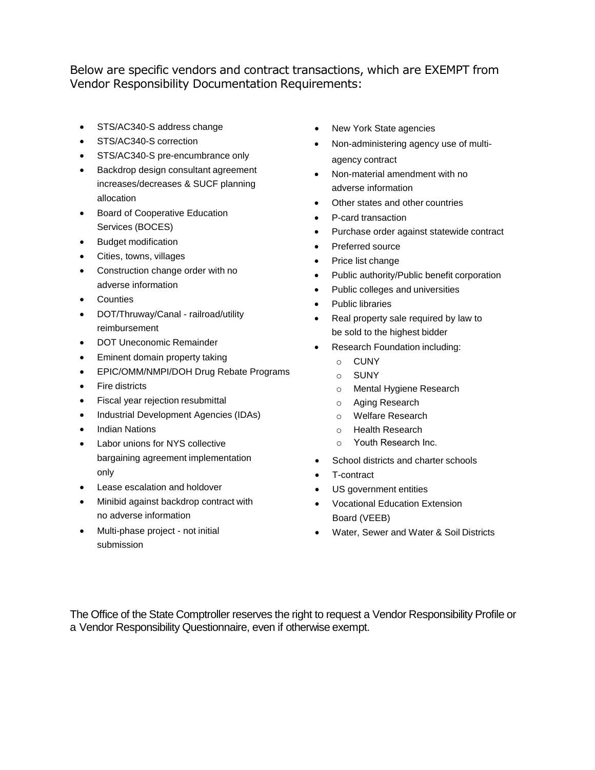Below are specific vendors and contract transactions, which are EXEMPT from Vendor Responsibility Documentation Requirements:

- STS/AC340-S address change
- STS/AC340-S correction
- STS/AC340-S pre-encumbrance only
- Backdrop design consultant agreement increases/decreases & SUCF planning allocation
- **•** Board of Cooperative Education Services (BOCES)
- Budget modification
- Cities, towns, villages
- Construction change order with no adverse information
- **Counties**
- DOT/Thruway/Canal railroad/utility reimbursement
- DOT Uneconomic Remainder
- Eminent domain property taking
- EPIC/OMM/NMPI/DOH Drug Rebate Programs
- Fire districts
- Fiscal year rejection resubmittal
- Industrial Development Agencies (IDAs)
- Indian Nations
- Labor unions for NYS collective bargaining agreement implementation only
- Lease escalation and holdover
- Minibid against backdrop contract with no adverse information
- Multi-phase project not initial submission
- New York State agencies
- Non-administering agency use of multiagency contract
- Non-material amendment with no adverse information
- Other states and other countries
- P-card transaction
- Purchase order against statewide contract
- Preferred source
- Price list change
- Public authority/Public benefit corporation
- Public colleges and universities
- Public libraries
- Real property sale required by law to be sold to the highest bidder
- Research Foundation including:
	- o CUNY
	- o SUNY
	- o Mental Hygiene Research
	- o Aging Research
	- o Welfare Research
	- o Health Research
	- o Youth Research Inc.
- School districts and charter schools
- T-contract
- US government entities
- Vocational Education Extension Board (VEEB)
- Water, Sewer and Water & Soil Districts

The Office of the State Comptroller reserves the right to request a Vendor Responsibility Profile or a Vendor Responsibility Questionnaire, even if otherwise exempt.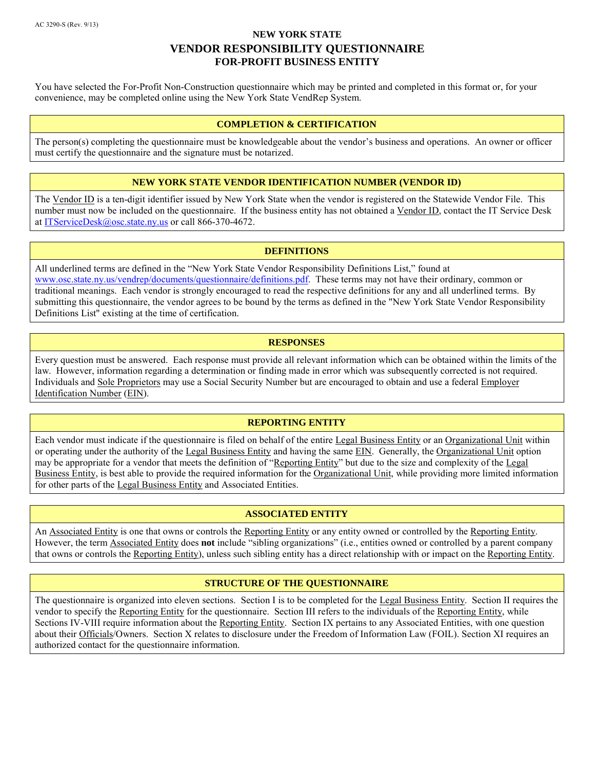You have selected the For-Profit Non-Construction questionnaire which may be printed and completed in this format or, for your convenience, may be completed online using the [New York State VendRep System.](http://www.osc.state.ny.us/vendrep/)

#### **COMPLETION & CERTIFICATION**

The person(s) completing the questionnaire must be knowledgeable about the vendor's business and operations. An owner or officer must certify the questionnaire and the signature must be notarized.

#### **NEW YORK STATE VENDOR IDENTIFICATION NUMBER (VENDOR ID)**

The Vendor ID is a ten-digit identifier issued by New York State when the vendor is registered on the Statewide Vendor File. This number must now be included on the questionnaire. If the business entity has not obtained a Vendor ID, contact the IT Service Desk a[t ITServiceDesk@osc.state.ny.us](mailto:ITServiceDesk@osc.state.ny.us) or call 866-370-4672.

#### **DEFINITIONS**

All underlined terms are defined in the "New York State Vendor Responsibility Definitions List," found at [www.osc.state.ny.us/vendrep/documents/questionnaire/definitions.pdf.](http://www.osc.state.ny.us/vendrep/documents/questionnaire/definitions.pdf) These terms may not have their ordinary, common or traditional meanings. Each vendor is strongly encouraged to read the respective definitions for any and all underlined terms. By submitting this questionnaire, the vendor agrees to be bound by the terms as defined in the "New York State Vendor Responsibility Definitions List" existing at the time of certification.

#### **RESPONSES**

Every question must be answered. Each response must provide all relevant information which can be obtained within the limits of the law. However, information regarding a determination or finding made in error which was subsequently corrected is not required. Individuals and Sole Proprietors may use a Social Security Number but are encouraged to obtain and use a federal Employer Identification Number (EIN).

#### **REPORTING ENTITY**

Each vendor must indicate if the questionnaire is filed on behalf of the entire Legal Business Entity or an Organizational Unit within or operating under the authority of the Legal Business Entity and having the same EIN. Generally, the Organizational Unit option may be appropriate for a vendor that meets the definition of "Reporting Entity" but due to the size and complexity of the Legal Business Entity, is best able to provide the required information for the Organizational Unit, while providing more limited information for other parts of the Legal Business Entity and Associated Entities.

#### **ASSOCIATED ENTITY**

An Associated Entity is one that owns or controls the Reporting Entity or any entity owned or controlled by the Reporting Entity. However, the term Associated Entity does **not** include "sibling organizations" (i.e., entities owned or controlled by a parent company that owns or controls the Reporting Entity), unless such sibling entity has a direct relationship with or impact on the Reporting Entity.

#### **STRUCTURE OF THE QUESTIONNAIRE**

The questionnaire is organized into eleven sections. Section I is to be completed for the Legal Business Entity. Section II requires the vendor to specify the Reporting Entity for the questionnaire. Section III refers to the individuals of the Reporting Entity, while Sections IV-VIII require information about the Reporting Entity. Section IX pertains to any Associated Entities, with one question about their Officials/Owners. Section X relates to disclosure under the Freedom of Information Law (FOIL). Section XI requires an authorized contact for the questionnaire information.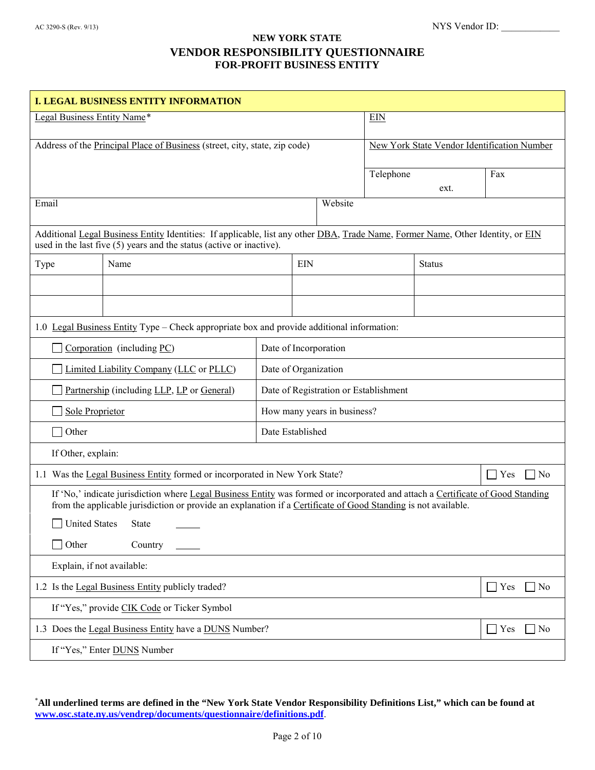| <b>I. LEGAL BUSINESS ENTITY INFORMATION</b>                                                                                                                                                                                                       |                                                                                                                                                                                                           |            |                       |                                             |           |               |                      |
|---------------------------------------------------------------------------------------------------------------------------------------------------------------------------------------------------------------------------------------------------|-----------------------------------------------------------------------------------------------------------------------------------------------------------------------------------------------------------|------------|-----------------------|---------------------------------------------|-----------|---------------|----------------------|
| Legal Business Entity Name*                                                                                                                                                                                                                       |                                                                                                                                                                                                           | <b>EIN</b> |                       |                                             |           |               |                      |
| Address of the Principal Place of Business (street, city, state, zip code)                                                                                                                                                                        |                                                                                                                                                                                                           |            |                       | New York State Vendor Identification Number |           |               |                      |
|                                                                                                                                                                                                                                                   |                                                                                                                                                                                                           |            |                       |                                             | Telephone | Fax           |                      |
|                                                                                                                                                                                                                                                   |                                                                                                                                                                                                           |            |                       |                                             |           | ext.          |                      |
| Email                                                                                                                                                                                                                                             |                                                                                                                                                                                                           |            |                       | Website                                     |           |               |                      |
|                                                                                                                                                                                                                                                   | Additional Legal Business Entity Identities: If applicable, list any other DBA, Trade Name, Former Name, Other Identity, or EIN<br>used in the last five $(5)$ years and the status (active or inactive). |            |                       |                                             |           |               |                      |
| Type                                                                                                                                                                                                                                              | Name                                                                                                                                                                                                      |            | <b>EIN</b>            |                                             |           | <b>Status</b> |                      |
|                                                                                                                                                                                                                                                   |                                                                                                                                                                                                           |            |                       |                                             |           |               |                      |
|                                                                                                                                                                                                                                                   |                                                                                                                                                                                                           |            |                       |                                             |           |               |                      |
|                                                                                                                                                                                                                                                   | 1.0 Legal Business Entity Type – Check appropriate box and provide additional information:                                                                                                                |            |                       |                                             |           |               |                      |
|                                                                                                                                                                                                                                                   | Corporation (including PC)                                                                                                                                                                                |            | Date of Incorporation |                                             |           |               |                      |
|                                                                                                                                                                                                                                                   | Limited Liability Company (LLC or PLLC)                                                                                                                                                                   |            | Date of Organization  |                                             |           |               |                      |
| Date of Registration or Establishment<br>Partnership (including LLP, LP or General)                                                                                                                                                               |                                                                                                                                                                                                           |            |                       |                                             |           |               |                      |
| Sole Proprietor<br>How many years in business?                                                                                                                                                                                                    |                                                                                                                                                                                                           |            |                       |                                             |           |               |                      |
| Other                                                                                                                                                                                                                                             | Date Established                                                                                                                                                                                          |            |                       |                                             |           |               |                      |
| If Other, explain:                                                                                                                                                                                                                                |                                                                                                                                                                                                           |            |                       |                                             |           |               |                      |
|                                                                                                                                                                                                                                                   | 1.1 Was the Legal Business Entity formed or incorporated in New York State?                                                                                                                               |            |                       |                                             |           |               | No<br>Yes            |
| If 'No,' indicate jurisdiction where Legal Business Entity was formed or incorporated and attach a Certificate of Good Standing<br>from the applicable jurisdiction or provide an explanation if a Certificate of Good Standing is not available. |                                                                                                                                                                                                           |            |                       |                                             |           |               |                      |
| United States State                                                                                                                                                                                                                               |                                                                                                                                                                                                           |            |                       |                                             |           |               |                      |
| Other<br>Country                                                                                                                                                                                                                                  |                                                                                                                                                                                                           |            |                       |                                             |           |               |                      |
| Explain, if not available:                                                                                                                                                                                                                        |                                                                                                                                                                                                           |            |                       |                                             |           |               |                      |
|                                                                                                                                                                                                                                                   | 1.2 Is the Legal Business Entity publicly traded?                                                                                                                                                         |            |                       |                                             |           |               | $\Box$ Yes<br>$ $ No |
| If "Yes," provide CIK Code or Ticker Symbol                                                                                                                                                                                                       |                                                                                                                                                                                                           |            |                       |                                             |           |               |                      |
| 1.3 Does the Legal Business Entity have a DUNS Number?<br>Yes<br>No                                                                                                                                                                               |                                                                                                                                                                                                           |            |                       |                                             |           |               |                      |
| If "Yes," Enter DUNS Number                                                                                                                                                                                                                       |                                                                                                                                                                                                           |            |                       |                                             |           |               |                      |

<span id="page-4-0"></span>\* **All underlined terms are defined in the "New York State Vendor Responsibility Definitions List," which can be found at [www.osc.state.ny.us/vendrep/documents/questionnaire/definitions.pdf](http://www.osc.state.ny.us/vendrep/documents/questionnaire/definitions.pdf)**.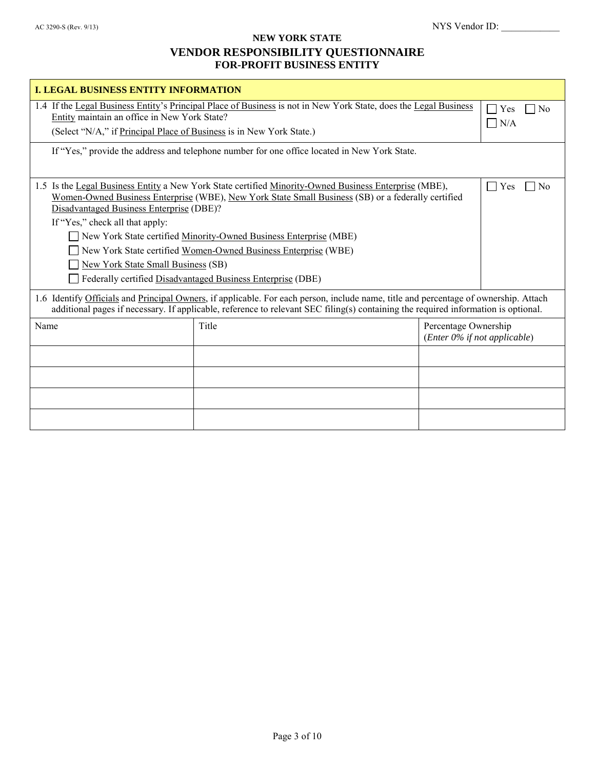| <b>I. LEGAL BUSINESS ENTITY INFORMATION</b>                                                                                                                                                                                                                                |                                                                                                                                                                                                                                                                                                                                                                                                                   |                                                      |                                        |
|----------------------------------------------------------------------------------------------------------------------------------------------------------------------------------------------------------------------------------------------------------------------------|-------------------------------------------------------------------------------------------------------------------------------------------------------------------------------------------------------------------------------------------------------------------------------------------------------------------------------------------------------------------------------------------------------------------|------------------------------------------------------|----------------------------------------|
| 1.4 If the Legal Business Entity's Principal Place of Business is not in New York State, does the Legal Business<br>Entity maintain an office in New York State?<br>(Select "N/A," if Principal Place of Business is in New York State.)                                   |                                                                                                                                                                                                                                                                                                                                                                                                                   |                                                      | Yes<br>N <sub>0</sub><br>N/A<br>$\sim$ |
|                                                                                                                                                                                                                                                                            | If "Yes," provide the address and telephone number for one office located in New York State.                                                                                                                                                                                                                                                                                                                      |                                                      |                                        |
| Disadvantaged Business Enterprise (DBE)?<br>If "Yes," check all that apply:<br><b>New York State Small Business (SB)</b>                                                                                                                                                   | 1.5 Is the Legal Business Entity a New York State certified Minority-Owned Business Enterprise (MBE),<br>Women-Owned Business Enterprise (WBE), New York State Small Business (SB) or a federally certified<br>New York State certified Minority-Owned Business Enterprise (MBE)<br>New York State certified Women-Owned Business Enterprise (WBE)<br>Federally certified Disadvantaged Business Enterprise (DBE) |                                                      | Yes<br>N <sub>0</sub>                  |
| 1.6 Identify Officials and Principal Owners, if applicable. For each person, include name, title and percentage of ownership. Attach<br>additional pages if necessary. If applicable, reference to relevant SEC filing(s) containing the required information is optional. |                                                                                                                                                                                                                                                                                                                                                                                                                   |                                                      |                                        |
| Name                                                                                                                                                                                                                                                                       | Title                                                                                                                                                                                                                                                                                                                                                                                                             | Percentage Ownership<br>(Enter 0% if not applicable) |                                        |
|                                                                                                                                                                                                                                                                            |                                                                                                                                                                                                                                                                                                                                                                                                                   |                                                      |                                        |
|                                                                                                                                                                                                                                                                            |                                                                                                                                                                                                                                                                                                                                                                                                                   |                                                      |                                        |
|                                                                                                                                                                                                                                                                            |                                                                                                                                                                                                                                                                                                                                                                                                                   |                                                      |                                        |
|                                                                                                                                                                                                                                                                            |                                                                                                                                                                                                                                                                                                                                                                                                                   |                                                      |                                        |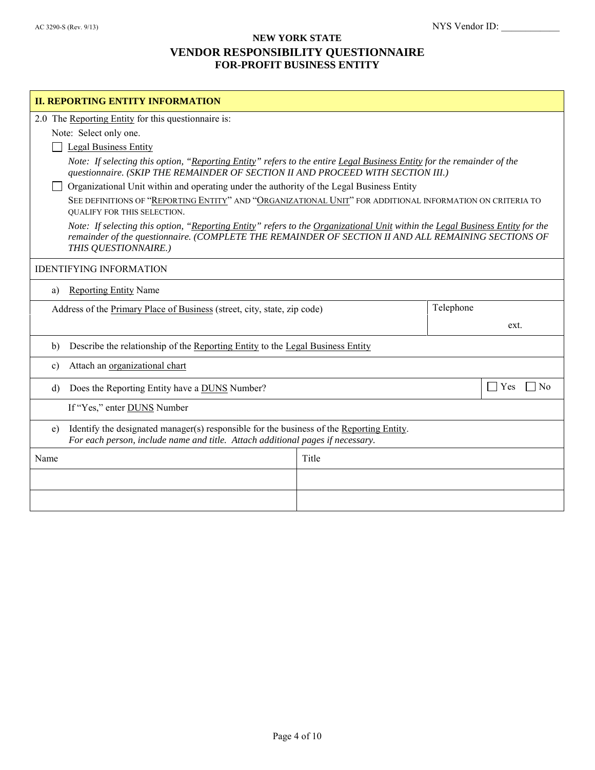| <b>II. REPORTING ENTITY INFORMATION</b>                                                                                                                                                                                                                      |                                                                                                                                                                                                           |  |                  |  |
|--------------------------------------------------------------------------------------------------------------------------------------------------------------------------------------------------------------------------------------------------------------|-----------------------------------------------------------------------------------------------------------------------------------------------------------------------------------------------------------|--|------------------|--|
| 2.0 The Reporting Entity for this questionnaire is:                                                                                                                                                                                                          |                                                                                                                                                                                                           |  |                  |  |
| Note: Select only one.                                                                                                                                                                                                                                       |                                                                                                                                                                                                           |  |                  |  |
| <b>Legal Business Entity</b>                                                                                                                                                                                                                                 |                                                                                                                                                                                                           |  |                  |  |
|                                                                                                                                                                                                                                                              | Note: If selecting this option, "Reporting Entity" refers to the entire Legal Business Entity for the remainder of the<br>questionnaire. (SKIP THE REMAINDER OF SECTION II AND PROCEED WITH SECTION III.) |  |                  |  |
| Organizational Unit within and operating under the authority of the Legal Business Entity                                                                                                                                                                    |                                                                                                                                                                                                           |  |                  |  |
| <b>OUALIFY FOR THIS SELECTION.</b>                                                                                                                                                                                                                           | SEE DEFINITIONS OF "REPORTING ENTITY" AND "ORGANIZATIONAL UNIT" FOR ADDITIONAL INFORMATION ON CRITERIA TO                                                                                                 |  |                  |  |
| Note: If selecting this option, "Reporting Entity" refers to the Organizational Unit within the Legal Business Entity for the<br>remainder of the questionnaire. (COMPLETE THE REMAINDER OF SECTION II AND ALL REMAINING SECTIONS OF<br>THIS QUESTIONNAIRE.) |                                                                                                                                                                                                           |  |                  |  |
| <b>IDENTIFYING INFORMATION</b>                                                                                                                                                                                                                               |                                                                                                                                                                                                           |  |                  |  |
| <b>Reporting Entity Name</b><br>a)                                                                                                                                                                                                                           |                                                                                                                                                                                                           |  |                  |  |
| Telephone<br>Address of the Primary Place of Business (street, city, state, zip code)                                                                                                                                                                        |                                                                                                                                                                                                           |  |                  |  |
|                                                                                                                                                                                                                                                              |                                                                                                                                                                                                           |  | ext.             |  |
| Describe the relationship of the Reporting Entity to the Legal Business Entity<br>$\mathbf{b}$                                                                                                                                                               |                                                                                                                                                                                                           |  |                  |  |
| Attach an organizational chart<br>$\mathbf{c}$                                                                                                                                                                                                               |                                                                                                                                                                                                           |  |                  |  |
| Does the Reporting Entity have a <b>DUNS</b> Number?<br>$\mathbf{d}$                                                                                                                                                                                         |                                                                                                                                                                                                           |  | Yes<br>$ N_{0} $ |  |
| If "Yes," enter <b>DUNS</b> Number                                                                                                                                                                                                                           |                                                                                                                                                                                                           |  |                  |  |
| Identify the designated manager(s) responsible for the business of the Reporting Entity.<br>e)<br>For each person, include name and title. Attach additional pages if necessary.                                                                             |                                                                                                                                                                                                           |  |                  |  |
| Name                                                                                                                                                                                                                                                         | Title                                                                                                                                                                                                     |  |                  |  |
|                                                                                                                                                                                                                                                              |                                                                                                                                                                                                           |  |                  |  |
|                                                                                                                                                                                                                                                              |                                                                                                                                                                                                           |  |                  |  |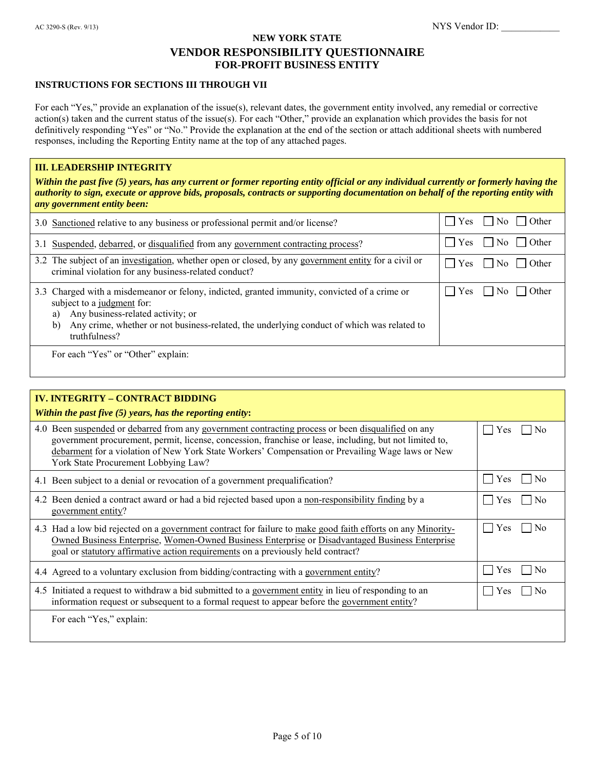#### **INSTRUCTIONS FOR SECTIONS III THROUGH VII**

For each "Yes," provide an explanation of the issue(s), relevant dates, the government entity involved, any remedial or corrective action(s) taken and the current status of the issue(s). For each "Other," provide an explanation which provides the basis for not definitively responding "Yes" or "No." Provide the explanation at the end of the section or attach additional sheets with numbered responses, including the Reporting Entity name at the top of any attached pages.

#### **III. LEADERSHIP INTEGRITY**

*Within the past five (5) years, has any current or former reporting entity official or any individual currently or formerly having the authority to sign, execute or approve bids, proposals, contracts or supporting documentation on behalf of the reporting entity with any government entity been:*

| 3.0 Sanctioned relative to any business or professional permit and/or license?                                                                                                                                                                                                              | $\bigcup$ No $\bigcap$ Other<br>$ $   Yes |
|---------------------------------------------------------------------------------------------------------------------------------------------------------------------------------------------------------------------------------------------------------------------------------------------|-------------------------------------------|
| 3.1 Suspended, debarred, or disqualified from any government contracting process?                                                                                                                                                                                                           | $ $   Yes<br>$\Box$ No $\Box$ Other       |
| 3.2 The subject of an <u>investigation</u> , whether open or closed, by any government entity for a civil or<br>criminal violation for any business-related conduct?                                                                                                                        | $\Box$ Yes<br>    No     Other            |
| 3.3 Charged with a misdemeanor or felony, indicted, granted immunity, convicted of a crime or<br>subject to a judgment for:<br>Any business-related activity; or<br>a)<br>Any crime, whether or not business-related, the underlying conduct of which was related to<br>b)<br>truthfulness? | $\vert$   Yes<br>    No     Other         |
| For each "Yes" or "Other" explain:                                                                                                                                                                                                                                                          |                                           |

| <b>IV. INTEGRITY - CONTRACT BIDDING</b><br>Within the past five $(5)$ years, has the reporting entity:                                                                                                                                                                                                                                                    |                       |
|-----------------------------------------------------------------------------------------------------------------------------------------------------------------------------------------------------------------------------------------------------------------------------------------------------------------------------------------------------------|-----------------------|
| 4.0 Been suspended or debarred from any government contracting process or been disqualified on any<br>government procurement, permit, license, concession, franchise or lease, including, but not limited to,<br>debarment for a violation of New York State Workers' Compensation or Prevailing Wage laws or New<br>York State Procurement Lobbying Law? | Yes<br>No             |
| 4.1 Been subject to a denial or revocation of a government prequalification?                                                                                                                                                                                                                                                                              | No<br><b>Yes</b>      |
| 4.2 Been denied a contract award or had a bid rejected based upon a non-responsibility finding by a<br>government entity?                                                                                                                                                                                                                                 | No<br><b>Yes</b>      |
| 4.3 Had a low bid rejected on a government contract for failure to make good faith efforts on any Minority-<br><u>Owned Business Enterprise, Women-Owned Business Enterprise</u> or Disadvantaged Business Enterprise<br>goal or statutory affirmative action requirements on a previously held contract?                                                 | N <sub>0</sub><br>Yes |
| 4.4 Agreed to a voluntary exclusion from bidding/contracting with a government entity?                                                                                                                                                                                                                                                                    | Yes                   |
| 4.5 Initiated a request to withdraw a bid submitted to a government entity in lieu of responding to an<br>information request or subsequent to a formal request to appear before the government entity?                                                                                                                                                   | <b>Yes</b>            |
| For each "Yes," explain:                                                                                                                                                                                                                                                                                                                                  |                       |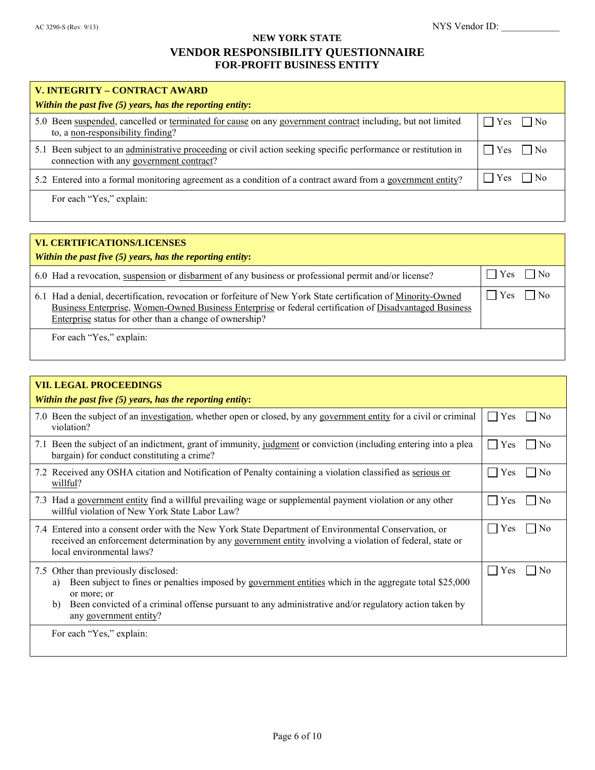| V. INTEGRITY - CONTRACT AWARD                                                                                                                               |              |
|-------------------------------------------------------------------------------------------------------------------------------------------------------------|--------------|
| Within the past five $(5)$ years, has the reporting entity:                                                                                                 |              |
| 5.0 Been suspended, cancelled or terminated for cause on any government contract including, but not limited<br>to, a non-responsibility finding?            | $Yes$     No |
| 5.1 Been subject to an administrative proceeding or civil action seeking specific performance or restitution in<br>connection with any government contract? | $Yes$ $ No$  |
| 5.2 Entered into a formal monitoring agreement as a condition of a contract award from a government entity?                                                 | $Yes$     No |
| For each "Yes," explain:                                                                                                                                    |              |

| VI. CERTIFICATIONS/LICENSES<br>Within the past five $(5)$ years, has the reporting entity:                                                                                                                                                                                          |                               |
|-------------------------------------------------------------------------------------------------------------------------------------------------------------------------------------------------------------------------------------------------------------------------------------|-------------------------------|
| 6.0 Had a revocation, suspension or disbarment of any business or professional permit and/or license?                                                                                                                                                                               | $\vert$   Yes<br>$\vert$   No |
| 6.1 Had a denial, decertification, revocation or forfeiture of New York State certification of Minority-Owned<br>Business Enterprise, Women-Owned Business Enterprise or federal certification of Disadvantaged Business<br>Enterprise status for other than a change of ownership? | $\vert$   Yes<br>$\vert$   No |
| For each "Yes," explain:                                                                                                                                                                                                                                                            |                               |

| <b>VII. LEGAL PROCEEDINGS</b>                                                                                                                                                                                                                                                                                           |                                       |
|-------------------------------------------------------------------------------------------------------------------------------------------------------------------------------------------------------------------------------------------------------------------------------------------------------------------------|---------------------------------------|
| Within the past five $(5)$ years, has the reporting entity:                                                                                                                                                                                                                                                             |                                       |
| 7.0 Been the subject of an investigation, whether open or closed, by any government entity for a civil or criminal<br>violation?                                                                                                                                                                                        | Yes<br>No<br>r I                      |
| 7.1 Been the subject of an indictment, grant of immunity, judgment or conviction (including entering into a plea<br>bargain) for conduct constituting a crime?                                                                                                                                                          | Yes<br>No                             |
| 7.2 Received any OSHA citation and Notification of Penalty containing a violation classified as serious or<br>willful?                                                                                                                                                                                                  | Yes<br>N <sub>0</sub>                 |
| 7.3 Had a government entity find a willful prevailing wage or supplemental payment violation or any other<br>willful violation of New York State Labor Law?                                                                                                                                                             | Yes<br>No                             |
| 7.4 Entered into a consent order with the New York State Department of Environmental Conservation, or<br>received an enforcement determination by any government entity involving a violation of federal, state or<br>local environmental laws?                                                                         | Yes<br>  No<br>$\sim$                 |
| 7.5 Other than previously disclosed:<br>Been subject to fines or penalties imposed by government entities which in the aggregate total \$25,000<br>a)<br>or more; or<br>Been convicted of a criminal offense pursuant to any administrative and/or regulatory action taken by<br>$\mathbf{b}$<br>any government entity? | Yes<br>$\mathbf{I}$<br>N <sub>0</sub> |
| For each "Yes," explain:                                                                                                                                                                                                                                                                                                |                                       |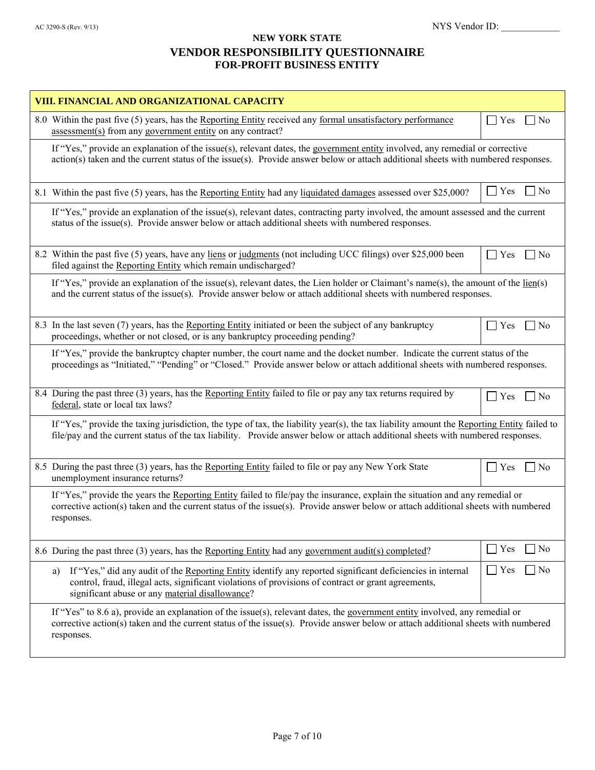| VIII. FINANCIAL AND ORGANIZATIONAL CAPACITY                                                                                                                                                                                                                                     |                                          |
|---------------------------------------------------------------------------------------------------------------------------------------------------------------------------------------------------------------------------------------------------------------------------------|------------------------------------------|
| 8.0 Within the past five (5) years, has the Reporting Entity received any formal unsatisfactory performance<br>assessment(s) from any government entity on any contract?                                                                                                        | $\perp$<br>Yes<br>$\overline{N}$         |
| If "Yes," provide an explanation of the issue(s), relevant dates, the government entity involved, any remedial or corrective<br>action(s) taken and the current status of the issue(s). Provide answer below or attach additional sheets with numbered responses.               |                                          |
| 8.1 Within the past five (5) years, has the Reporting Entity had any liquidated damages assessed over \$25,000?                                                                                                                                                                 | $\exists$ No<br>$\vert \ \vert$ Yes      |
| If "Yes," provide an explanation of the issue(s), relevant dates, contracting party involved, the amount assessed and the current<br>status of the issue(s). Provide answer below or attach additional sheets with numbered responses.                                          |                                          |
| 8.2 Within the past five (5) years, have any liens or judgments (not including UCC filings) over \$25,000 been<br>filed against the Reporting Entity which remain undischarged?                                                                                                 | $\sim$<br>Yes<br>$\Box$ No               |
| If "Yes," provide an explanation of the issue(s), relevant dates, the Lien holder or Claimant's name(s), the amount of the $\underline{\text{lien}}(s)$<br>and the current status of the issue(s). Provide answer below or attach additional sheets with numbered responses.    |                                          |
| 8.3 In the last seven (7) years, has the Reporting Entity initiated or been the subject of any bankruptcy<br>proceedings, whether or not closed, or is any bankruptcy proceeding pending?                                                                                       | $\exists$ No<br>$\vert \ \ \vert$<br>Yes |
| If "Yes," provide the bankruptcy chapter number, the court name and the docket number. Indicate the current status of the<br>proceedings as "Initiated," "Pending" or "Closed." Provide answer below or attach additional sheets with numbered responses.                       |                                          |
| 8.4 During the past three (3) years, has the Reporting Entity failed to file or pay any tax returns required by<br>federal, state or local tax laws?                                                                                                                            | Yes<br>$\exists$ No<br>$\mathsf{L}$      |
| If "Yes," provide the taxing jurisdiction, the type of tax, the liability year(s), the tax liability amount the Reporting Entity failed to<br>file/pay and the current status of the tax liability. Provide answer below or attach additional sheets with numbered responses.   |                                          |
| 8.5 During the past three (3) years, has the Reporting Entity failed to file or pay any New York State<br>unemployment insurance returns?                                                                                                                                       | Yes<br>$\overline{N}$<br>$\perp$         |
| If "Yes," provide the years the Reporting Entity failed to file/pay the insurance, explain the situation and any remedial or<br>corrective action(s) taken and the current status of the issue(s). Provide answer below or attach additional sheets with numbered<br>responses. |                                          |
| 8.6 During the past three (3) years, has the Reporting Entity had any government audit(s) completed?                                                                                                                                                                            | Yes<br>$\overline{N}$<br>$\perp$         |
| If "Yes," did any audit of the Reporting Entity identify any reported significant deficiencies in internal<br>a)<br>control, fraud, illegal acts, significant violations of provisions of contract or grant agreements,<br>significant abuse or any material disallowance?      | $\Box$ Yes<br> No                        |
| If "Yes" to 8.6 a), provide an explanation of the issue(s), relevant dates, the government entity involved, any remedial or<br>corrective action(s) taken and the current status of the issue(s). Provide answer below or attach additional sheets with numbered<br>responses.  |                                          |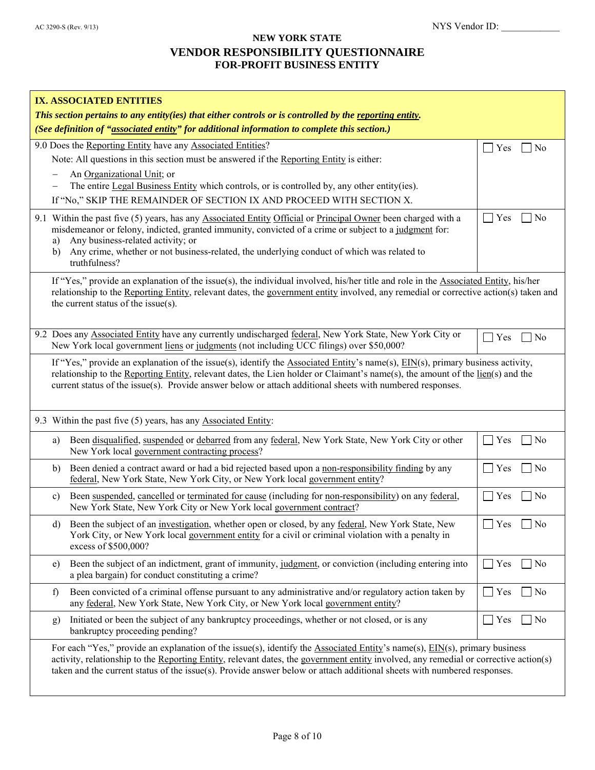| IX. ASSOCIATED ENTITIES<br>This section pertains to any entity(ies) that either controls or is controlled by the reporting entity.<br>(See definition of "associated entity" for additional information to complete this section.)                                                                                                                                                            |                                           |  |  |
|-----------------------------------------------------------------------------------------------------------------------------------------------------------------------------------------------------------------------------------------------------------------------------------------------------------------------------------------------------------------------------------------------|-------------------------------------------|--|--|
| 9.0 Does the Reporting Entity have any Associated Entities?<br>Note: All questions in this section must be answered if the Reporting Entity is either:<br>An Organizational Unit; or<br>The entire Legal Business Entity which controls, or is controlled by, any other entity(ies).<br>If "No," SKIP THE REMAINDER OF SECTION IX AND PROCEED WITH SECTION X.                                 | $ $ Yes<br>No<br>$\overline{\phantom{a}}$ |  |  |
| 9.1 Within the past five (5) years, has any Associated Entity Official or Principal Owner been charged with a<br>misdemeanor or felony, indicted, granted immunity, convicted of a crime or subject to a judgment for:<br>Any business-related activity; or<br>a)<br>Any crime, whether or not business-related, the underlying conduct of which was related to<br>b)<br>truthfulness?        | $ $ Yes<br>No                             |  |  |
| If "Yes," provide an explanation of the issue(s), the individual involved, his/her title and role in the Associated Entity, his/her<br>relationship to the Reporting Entity, relevant dates, the government entity involved, any remedial or corrective action(s) taken and<br>the current status of the issue(s).                                                                            |                                           |  |  |
| 9.2 Does any Associated Entity have any currently undischarged federal, New York State, New York City or<br>New York local government liens or judgments (not including UCC filings) over \$50,000?                                                                                                                                                                                           | No<br>Yes                                 |  |  |
| If "Yes," provide an explanation of the issue(s), identify the Associated Entity's name(s), $EIN(s)$ , primary business activity,<br>relationship to the Reporting Entity, relevant dates, the Lien holder or Claimant's name(s), the amount of the lien(s) and the<br>current status of the issue(s). Provide answer below or attach additional sheets with numbered responses.              |                                           |  |  |
| 9.3 Within the past five (5) years, has any Associated Entity:                                                                                                                                                                                                                                                                                                                                |                                           |  |  |
| Been disqualified, suspended or debarred from any federal, New York State, New York City or other<br>a)<br>New York local government contracting process?                                                                                                                                                                                                                                     | $\Box$ Yes<br>$\Box$ No                   |  |  |
| Been denied a contract award or had a bid rejected based upon a non-responsibility finding by any<br>b)<br>federal, New York State, New York City, or New York local government entity?                                                                                                                                                                                                       | $\Box$ No<br>$\Gamma$ Yes                 |  |  |
| Been suspended, cancelled or terminated for cause (including for non-responsibility) on any federal,<br>c)<br>New York State, New York City or New York local government contract?                                                                                                                                                                                                            | $\Box$ Yes<br>No<br>$\Box$                |  |  |
| d) Been the subject of an investigation, whether open or closed, by any federal, New York State, New<br>York City, or New York local government entity for a civil or criminal violation with a penalty in<br>excess of \$500,000?                                                                                                                                                            | $\Box$ Yes<br>$\Box$ No                   |  |  |
| Been the subject of an indictment, grant of immunity, judgment, or conviction (including entering into<br>e)<br>a plea bargain) for conduct constituting a crime?                                                                                                                                                                                                                             | $\Box$ Yes<br>$\Box$ No                   |  |  |
| Been convicted of a criminal offense pursuant to any administrative and/or regulatory action taken by<br>f)<br>any federal, New York State, New York City, or New York local government entity?                                                                                                                                                                                               | $\Gamma$ Yes<br>$\Box$ No                 |  |  |
| Initiated or been the subject of any bankruptcy proceedings, whether or not closed, or is any<br>g)<br>bankruptcy proceeding pending?                                                                                                                                                                                                                                                         | $\Gamma$ Yes<br>$\blacksquare$ No         |  |  |
| For each "Yes," provide an explanation of the issue(s), identify the Associated Entity's name(s), EIN(s), primary business<br>activity, relationship to the Reporting Entity, relevant dates, the government entity involved, any remedial or corrective action(s)<br>taken and the current status of the issue(s). Provide answer below or attach additional sheets with numbered responses. |                                           |  |  |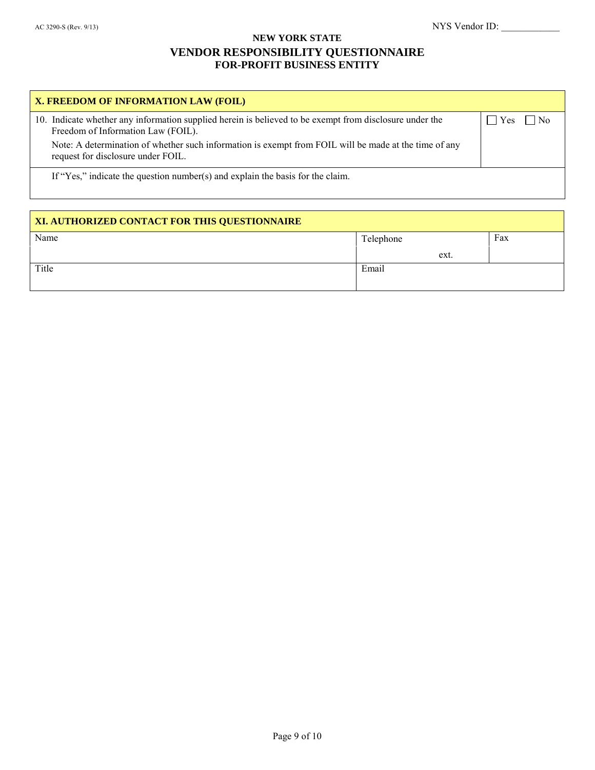| X. FREEDOM OF INFORMATION LAW (FOIL)                                                                                                          |                               |
|-----------------------------------------------------------------------------------------------------------------------------------------------|-------------------------------|
| 10. Indicate whether any information supplied herein is believed to be exempt from disclosure under the<br>Freedom of Information Law (FOIL). | $\vert$ Yes<br>$\overline{N}$ |
| Note: A determination of whether such information is exempt from FOIL will be made at the time of any<br>request for disclosure under FOIL.   |                               |
| If "Yes," indicate the question number(s) and explain the basis for the claim.                                                                |                               |

| XI. AUTHORIZED CONTACT FOR THIS QUESTIONNAIRE |           |     |  |  |  |  |
|-----------------------------------------------|-----------|-----|--|--|--|--|
| Name                                          | Telephone | Fax |  |  |  |  |
|                                               | ext.      |     |  |  |  |  |
| Title                                         | Email     |     |  |  |  |  |
|                                               |           |     |  |  |  |  |